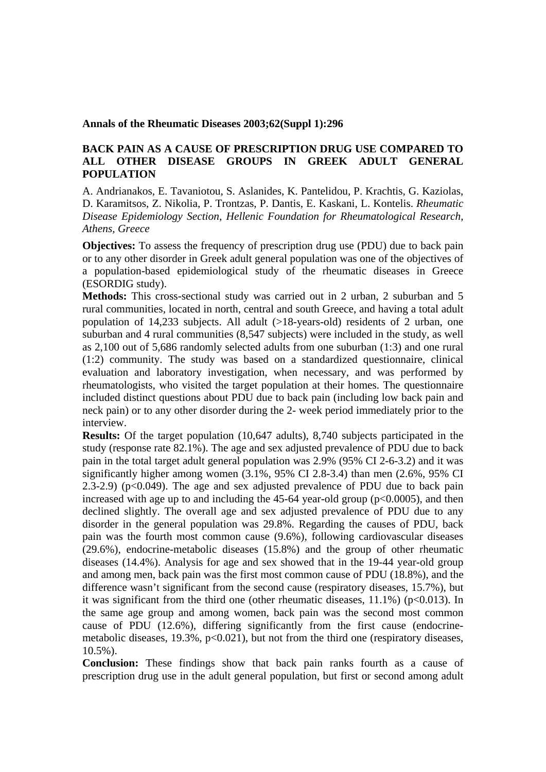## **Annals of the Rheumatic Diseases 2003;62(Suppl 1):296**

## **BACK PAIN AS A CAUSE OF PRESCRIPTION DRUG USE COMPARED TO ALL OTHER DISEASE GROUPS IN GREEK ADULT GENERAL POPULATION**

A. Andrianakos, E. Tavaniotou, S. Aslanides, K. Pantelidou, P. Krachtis, G. Kaziolas, D. Karamitsos, Z. Nikolia, P. Trontzas, P. Dantis, E. Kaskani, L. Kontelis. *Rheumatic Disease Epidemiology Section, Hellenic Foundation for Rheumatological Research, Athens, Greece* 

**Objectives:** To assess the frequency of prescription drug use (PDU) due to back pain or to any other disorder in Greek adult general population was one of the objectives of a population-based epidemiological study of the rheumatic diseases in Greece (ESORDIG study).

**Methods:** This cross-sectional study was carried out in 2 urban, 2 suburban and 5 rural communities, located in north, central and south Greece, and having a total adult population of 14,233 subjects. All adult (>18-years-old) residents of 2 urban, one suburban and 4 rural communities (8,547 subjects) were included in the study, as well as 2,100 out of 5,686 randomly selected adults from one suburban (1:3) and one rural (1:2) community. The study was based on a standardized questionnaire, clinical evaluation and laboratory investigation, when necessary, and was performed by rheumatologists, who visited the target population at their homes. The questionnaire included distinct questions about PDU due to back pain (including low back pain and neck pain) or to any other disorder during the 2- week period immediately prior to the interview.

**Results:** Of the target population (10,647 adults), 8,740 subjects participated in the study (response rate 82.1%). The age and sex adjusted prevalence of PDU due to back pain in the total target adult general population was 2.9% (95% CI 2-6-3.2) and it was significantly higher among women (3.1%, 95% CI 2.8-3.4) than men (2.6%, 95% CI 2.3-2.9) ( $p<0.049$ ). The age and sex adjusted prevalence of PDU due to back pain increased with age up to and including the  $45-64$  year-old group ( $p<0.0005$ ), and then declined slightly. The overall age and sex adjusted prevalence of PDU due to any disorder in the general population was 29.8%. Regarding the causes of PDU, back pain was the fourth most common cause (9.6%), following cardiovascular diseases (29.6%), endocrine-metabolic diseases (15.8%) and the group of other rheumatic diseases (14.4%). Analysis for age and sex showed that in the 19-44 year-old group and among men, back pain was the first most common cause of PDU (18.8%), and the difference wasn't significant from the second cause (respiratory diseases, 15.7%), but it was significant from the third one (other rheumatic diseases,  $11.1\%$ ) (p<0.013). In the same age group and among women, back pain was the second most common cause of PDU (12.6%), differing significantly from the first cause (endocrinemetabolic diseases,  $19.3\%$ ,  $p<0.021$ ), but not from the third one (respiratory diseases, 10.5%).

**Conclusion:** These findings show that back pain ranks fourth as a cause of prescription drug use in the adult general population, but first or second among adult